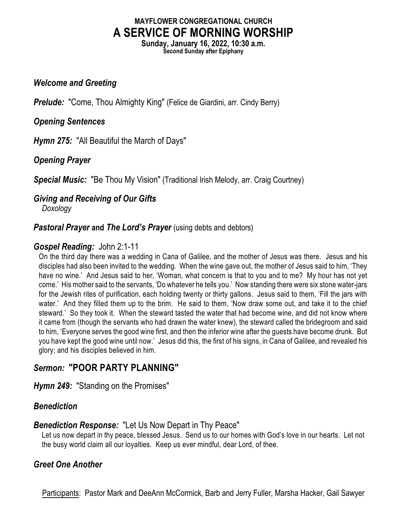# **MAYFLOWER CONGREGATIONAL CHURCH A SERVICE OF MORNING WORSHIP**

**Sunday, January 16, 2022, 10:30 a.m. Second Sunday after Epiphany**

## *Welcome and Greeting*

**Prelude:** "Come, Thou Almighty King" (Felice de Giardini, arr. Cindy Berry)

## *Opening Sentences*

*Hymn 275:* "All Beautiful the March of Days"

## *Opening Prayer*

*Special Music:* "Be Thou My Vision" (Traditional Irish Melody, arr. Craig Courtney)

## *Giving and Receiving of Our Gifts*

*Doxology*

## **Pastoral Prayer and The Lord's Prayer** (using debts and debtors)

## *Gospel Reading:* John 2:1-11

On the third day there was a wedding in Cana of Galilee, and the mother of Jesus was there. Jesus and his disciples had also been invited to the wedding. When the wine gave out, the mother of Jesus said to him, 'They have no wine.' And Jesus said to her, 'Woman, what concern is that to you and to me? My hour has not yet come.' His mother said to the servants, 'Do whatever he tells you.' Now standing there were six stone water-jars for the Jewish rites of purification, each holding twenty or thirty gallons. Jesus said to them, 'Fill the jars with water.' And they filled them up to the brim. He said to them, 'Now draw some out, and take it to the chief steward.' So they took it. When the steward tasted the water that had become wine, and did not know where it came from (though the servants who had drawn the water knew), the steward called the bridegroom and said to him, 'Everyone serves the good wine first, and then the inferior wine after the guests have become drunk. But you have kept the good wine until now.' Jesus did this, the first of his signs, in Cana of Galilee, and revealed his glory; and his disciples believed in him.

# *Sermon:* **"POOR PARTY PLANNING"**

*Hymn 249:* "Standing on the Promises"

## *Benediction*

## *Benediction Response:* "Let Us Now Depart in Thy Peace"

Let us now depart in thy peace, blessed Jesus. Send us to our homes with God's love in our hearts. Let not the busy world claim all our loyalties. Keep us ever mindful, dear Lord, of thee.

## *Greet One Another*

Participants: Pastor Mark and DeeAnn McCormick, Barb and Jerry Fuller, Marsha Hacker, Gail Sawyer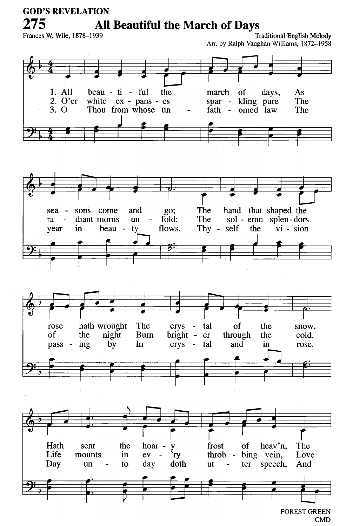### **GOD'S REVELATION** 275 All Beautiful the March of Days

Frances W. Wile, 1878-1939

**Traditional English Melody** Arr. by Ralph Vaughan Williams, 1872-1958



**FOREST GREEN CMD**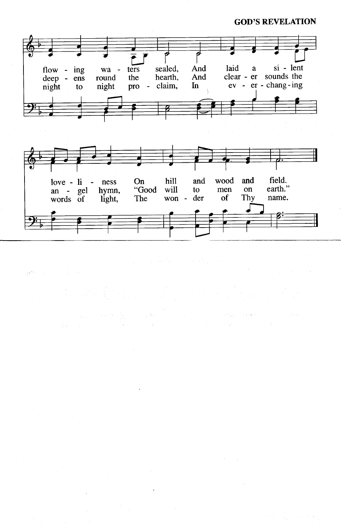#### **GOD'S REVELATION**



**新加工** 计可变

 $\label{eq:2.1} \begin{split} \mathcal{L}_{\text{max}}(\mathbf{r},\mathbf{r}) = \mathcal{L}_{\text{max}}(\mathbf{r},\mathbf{r}) = \mathcal{L}_{\text{max}}(\mathbf{r},\mathbf{r}) = \mathcal{L}_{\text{max}}(\mathbf{r},\mathbf{r}) = \mathcal{L}_{\text{max}}(\mathbf{r},\mathbf{r}) = \mathcal{L}_{\text{max}}(\mathbf{r},\mathbf{r}) = \mathcal{L}_{\text{max}}(\mathbf{r},\mathbf{r}) = \mathcal{L}_{\text{max}}(\mathbf{r},\mathbf{r}) = \mathcal{L}_{\text{max}}(\mathbf$ 

Taglia

 $\frac{1}{2}$  (  $2\times3$  )  $^2$  .

 $\sim 25$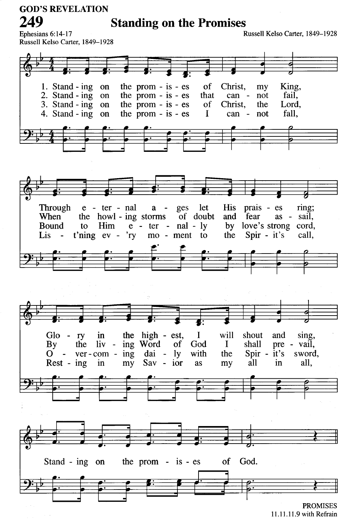**GOD'S REVELATION** 249

**Standing on the Promises** 

Russell Kelso Carter, 1849-1928

Ephesians 6:14-17 Russell Kelso Carter, 1849-1928



11.11.11.9 with Refrain